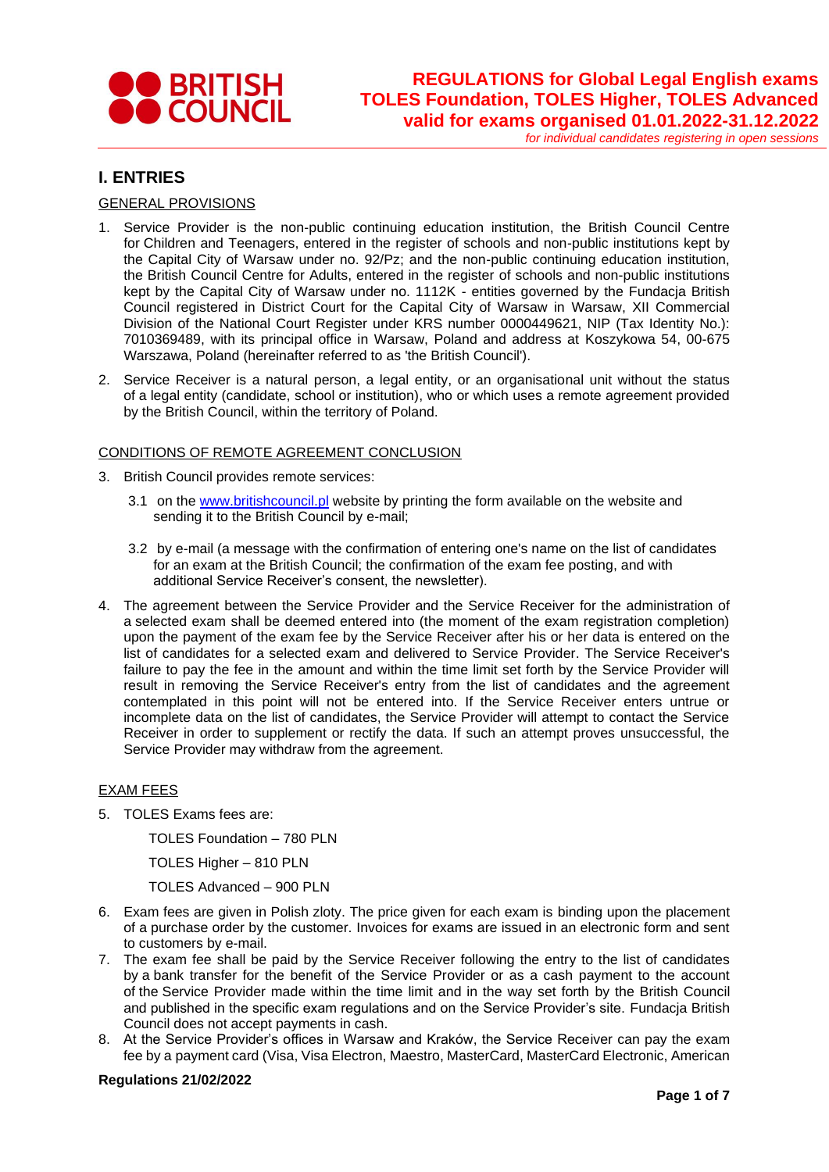

*for individual candidates registering in open sessions*

### **I. ENTRIES**

### GENERAL PROVISIONS

- 1. Service Provider is the non-public continuing education institution, the British Council Centre for Children and Teenagers, entered in the register of schools and non-public institutions kept by the Capital City of Warsaw under no. 92/Pz; and the non-public continuing education institution, the British Council Centre for Adults, entered in the register of schools and non-public institutions kept by the Capital City of Warsaw under no. 1112K - entities governed by the Fundacja British Council registered in District Court for the Capital City of Warsaw in Warsaw, XII Commercial Division of the National Court Register under KRS number 0000449621, NIP (Tax Identity No.): 7010369489, with its principal office in Warsaw, Poland and address at Koszykowa 54, 00-675 Warszawa, Poland (hereinafter referred to as 'the British Council').
- 2. Service Receiver is a natural person, a legal entity, or an organisational unit without the status of a legal entity (candidate, school or institution), who or which uses a remote agreement provided by the British Council, within the territory of Poland.

#### CONDITIONS OF REMOTE AGREEMENT CONCLUSION

- 3. British Council provides remote services:
	- 3.1 on the [www.britishcouncil.pl](http://www.britishcouncil.pl/) website by printing the form available on the website and sending it to the British Council by e-mail;
	- 3.2 by e-mail (a message with the confirmation of entering one's name on the list of candidates for an exam at the British Council; the confirmation of the exam fee posting, and with additional Service Receiver's consent, the newsletter).
- 4. The agreement between the Service Provider and the Service Receiver for the administration of a selected exam shall be deemed entered into (the moment of the exam registration completion) upon the payment of the exam fee by the Service Receiver after his or her data is entered on the list of candidates for a selected exam and delivered to Service Provider. The Service Receiver's failure to pay the fee in the amount and within the time limit set forth by the Service Provider will result in removing the Service Receiver's entry from the list of candidates and the agreement contemplated in this point will not be entered into. If the Service Receiver enters untrue or incomplete data on the list of candidates, the Service Provider will attempt to contact the Service Receiver in order to supplement or rectify the data. If such an attempt proves unsuccessful, the Service Provider may withdraw from the agreement.

#### EXAM FEES

5. TOLES Exams fees are:

TOLES Foundation – 780 PLN

TOLES Higher – 810 PLN

TOLES Advanced – 900 PLN

- 6. Exam fees are given in Polish zloty. The price given for each exam is binding upon the placement of a purchase order by the customer. Invoices for exams are issued in an electronic form and sent to customers by e-mail.
- 7. The exam fee shall be paid by the Service Receiver following the entry to the list of candidates by a bank transfer for the benefit of the Service Provider or as a cash payment to the account of the Service Provider made within the time limit and in the way set forth by the British Council and published in the specific exam regulations and on the Service Provider's site. Fundacja British Council does not accept payments in cash.
- 8. At the Service Provider's offices in Warsaw and Kraków, the Service Receiver can pay the exam fee by a payment card (Visa, Visa Electron, Maestro, MasterCard, MasterCard Electronic, American

#### **Regulations 21/02/2022**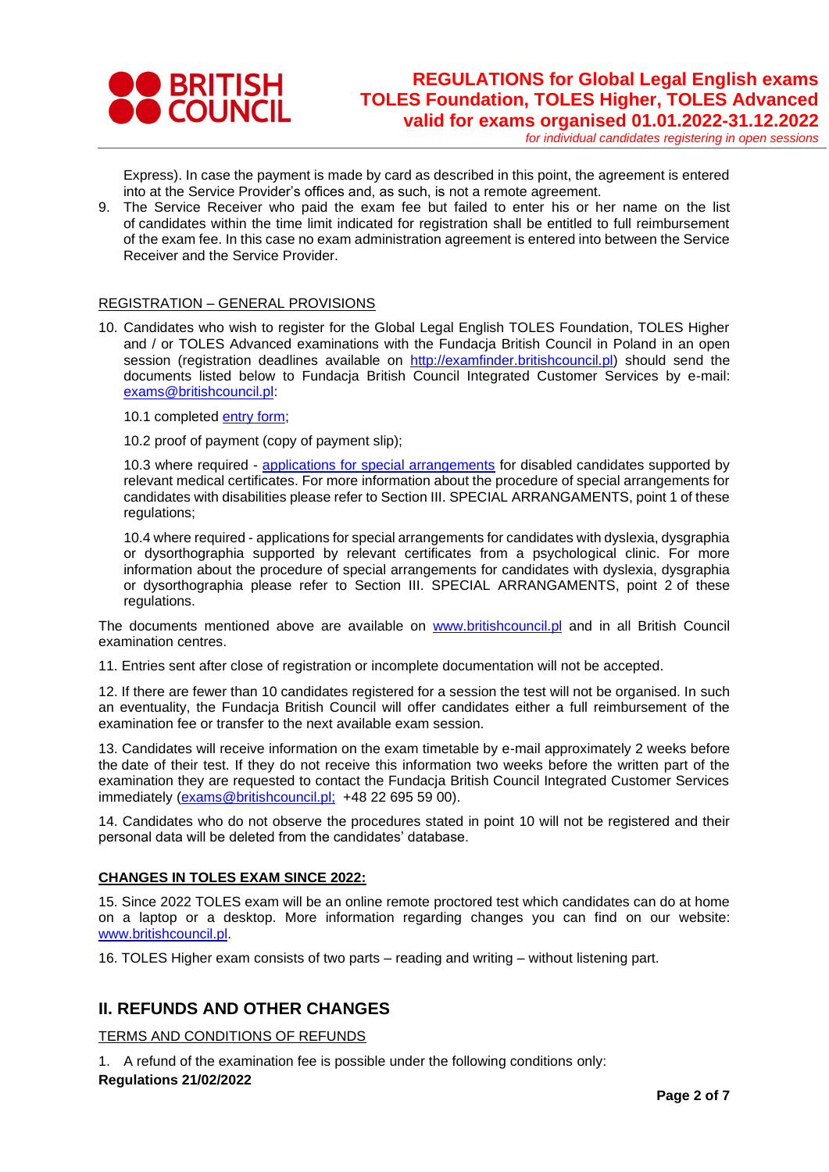

*for individual candidates registering in open sessions*

Express). In case the payment is made by card as described in this point, the agreement is entered into at the Service Provider's offices and, as such, is not a remote agreement.

9. The Service Receiver who paid the exam fee but failed to enter his or her name on the list of candidates within the time limit indicated for registration shall be entitled to full reimbursement of the exam fee. In this case no exam administration agreement is entered into between the Service Receiver and the Service Provider.

#### REGISTRATION – GENERAL PROVISIONS

10. Candidates who wish to register for the Global Legal English TOLES Foundation, TOLES Higher and / or TOLES Advanced examinations with the Fundacja British Council in Poland in an open session (registration deadlines available on [http://examfinder.britishcouncil.pl\)](http://examfinder.britishcouncil.pl/) should send the documents listed below to Fundacja British Council Integrated Customer Services by e-mail: [exams@britishcouncil.pl:](mailto:exams@britishcouncil.pl)

10.1 completed [entry form;](https://www.britishcouncil.pl/sites/default/files/toles_individual_entry_form_2022_pl_ep_final.pdf)

10.2 proof of payment (copy of payment slip);

10.3 where required - [applications for special arrangements](https://www.britishcouncil.pl/sites/default/files/internal_sa_form_gb_toles_16_09_2020_ep_final.pdf) for disabled candidates supported by relevant medical certificates. For more information about the procedure of special arrangements for candidates with disabilities please refer to Section III. SPECIAL ARRANGAMENTS, point 1 of these regulations:

10.4 where required - applications for special arrangements for candidates with dyslexia, dysgraphia or dysorthographia supported by relevant certificates from a psychological clinic. For more information about the procedure of special arrangements for candidates with dyslexia, dysgraphia or dysorthographia please refer to Section III. SPECIAL ARRANGAMENTS, point 2 of these regulations.

The documents mentioned above are available on www.britishcouncil.pl and in all British Council examination centres.

11. Entries sent after close of registration or incomplete documentation will not be accepted.

12. If there are fewer than 10 candidates registered for a session the test will not be organised. In such an eventuality, the Fundacja British Council will offer candidates either a full reimbursement of the examination fee or transfer to the next available exam session.

13. Candidates will receive information on the exam timetable by e-mail approximately 2 weeks before the date of their test. If they do not receive this information two weeks before the written part of the examination they are requested to contact the Fundacja British Council Integrated Customer Services immediately [\(exams@britishcouncil.pl;](mailto:exams@britishcouncil.pl) +48 22 695 59 00).

14. Candidates who do not observe the procedures stated in point 10 will not be registered and their personal data will be deleted from the candidates' database.

### **CHANGES IN TOLES EXAM SINCE 2022:**

15. Since 2022 TOLES exam will be an online remote proctored test which candidates can do at home on a laptop or a desktop. More information regarding changes you can find on our website: [www.britishcouncil.pl.](http://www.britishcouncil.pl/)

16. TOLES Higher exam consists of two parts – reading and writing – without listening part.

## **II. REFUNDS AND OTHER CHANGES**

TERMS AND CONDITIONS OF REFUNDS

**Regulations 21/02/2022** 1. A refund of the examination fee is possible under the following conditions only: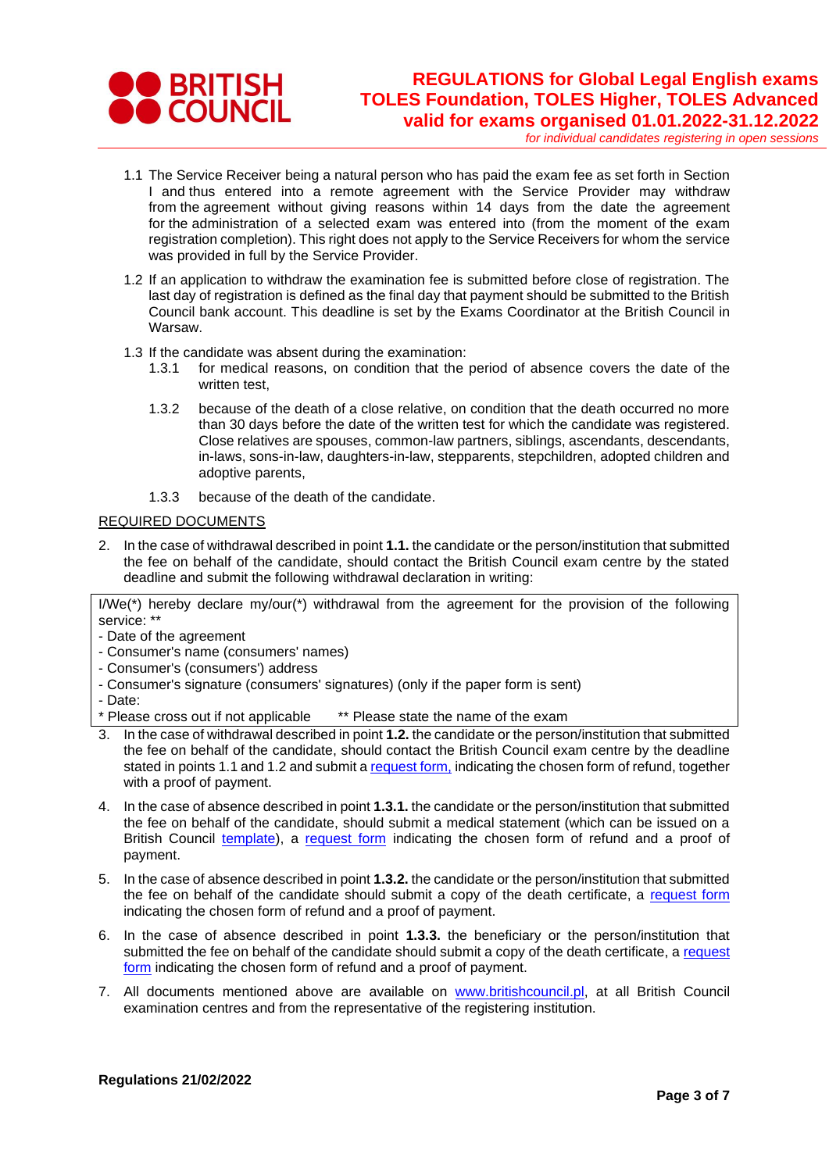

*for individual candidates registering in open sessions*

- 1.1 The Service Receiver being a natural person who has paid the exam fee as set forth in Section I and thus entered into a remote agreement with the Service Provider may withdraw from the agreement without giving reasons within 14 days from the date the agreement for the administration of a selected exam was entered into (from the moment of the exam registration completion). This right does not apply to the Service Receivers for whom the service was provided in full by the Service Provider.
- 1.2 If an application to withdraw the examination fee is submitted before close of registration. The last day of registration is defined as the final day that payment should be submitted to the British Council bank account. This deadline is set by the Exams Coordinator at the British Council in Warsaw.
- 1.3 If the candidate was absent during the examination:
	- 1.3.1 for medical reasons, on condition that the period of absence covers the date of the written test,
	- 1.3.2 because of the death of a close relative, on condition that the death occurred no more than 30 days before the date of the written test for which the candidate was registered. Close relatives are spouses, common-law partners, siblings, ascendants, descendants, in-laws, sons-in-law, daughters-in-law, stepparents, stepchildren, adopted children and adoptive parents,
	- 1.3.3 because of the death of the candidate.

#### REQUIRED DOCUMENTS

2. In the case of withdrawal described in point **1.1.** the candidate or the person/institution that submitted the fee on behalf of the candidate, should contact the British Council exam centre by the stated deadline and submit the following withdrawal declaration in writing:

I/We(\*) hereby declare my/our(\*) withdrawal from the agreement for the provision of the following service: \*\*

- Date of the agreement
- Consumer's name (consumers' names)
- Consumer's (consumers') address
- Consumer's signature (consumers' signatures) (only if the paper form is sent)
- Date:

\* Please cross out if not applicable \*\* Please state the name of the exam

- 3. In the case of withdrawal described in point **1.2.** the candidate or the person/institution that submitted the fee on behalf of the candidate, should contact the British Council exam centre by the deadline stated in points 1.1 and 1.2 and submit a [request form,](https://www.britishcouncil.pl/sites/default/files/refund_form_yle_uni_prof_school_2021_ep_final_0.pdf) indicating the chosen form of refund, together with a proof of payment.
- 4. In the case of absence described in point **1.3.1.** the candidate or the person/institution that submitted the fee on behalf of the candidate, should submit a medical statement (which can be issued on a British Council [template\)](https://www.britishcouncil.pl/sites/default/files/zwolnienie_lekarskie_medical_certificate_2021_pl_gb_ep_final.pdf), a [request form](https://www.britishcouncil.pl/sites/default/files/refund_form_yle_uni_prof_school_2021_ep_final_0.pdf) indicating the chosen form of refund and a proof of payment.
- 5. In the case of absence described in point **1.3.2.** the candidate or the person/institution that submitted the fee on behalf of the candidate should submit a copy of the death certificate, a [request form](https://www.britishcouncil.pl/sites/default/files/refund_form_yle_uni_prof_school_2021_ep_final_0.pdf) indicating the chosen form of refund and a proof of payment.
- 6. In the case of absence described in point **1.3.3.** the beneficiary or the person/institution that submitted the fee on behalf of the candidate should submit a copy of the death certificate, a request [form](https://www.britishcouncil.pl/sites/default/files/refund_form_yle_uni_prof_school_2021_ep_final_0.pdf) indicating the chosen form of refund and a proof of payment.
- 7. All documents mentioned above are available on [www.britishcouncil.pl,](http://www.britishcouncil.pl/) at all British Council examination centres and from the representative of the registering institution.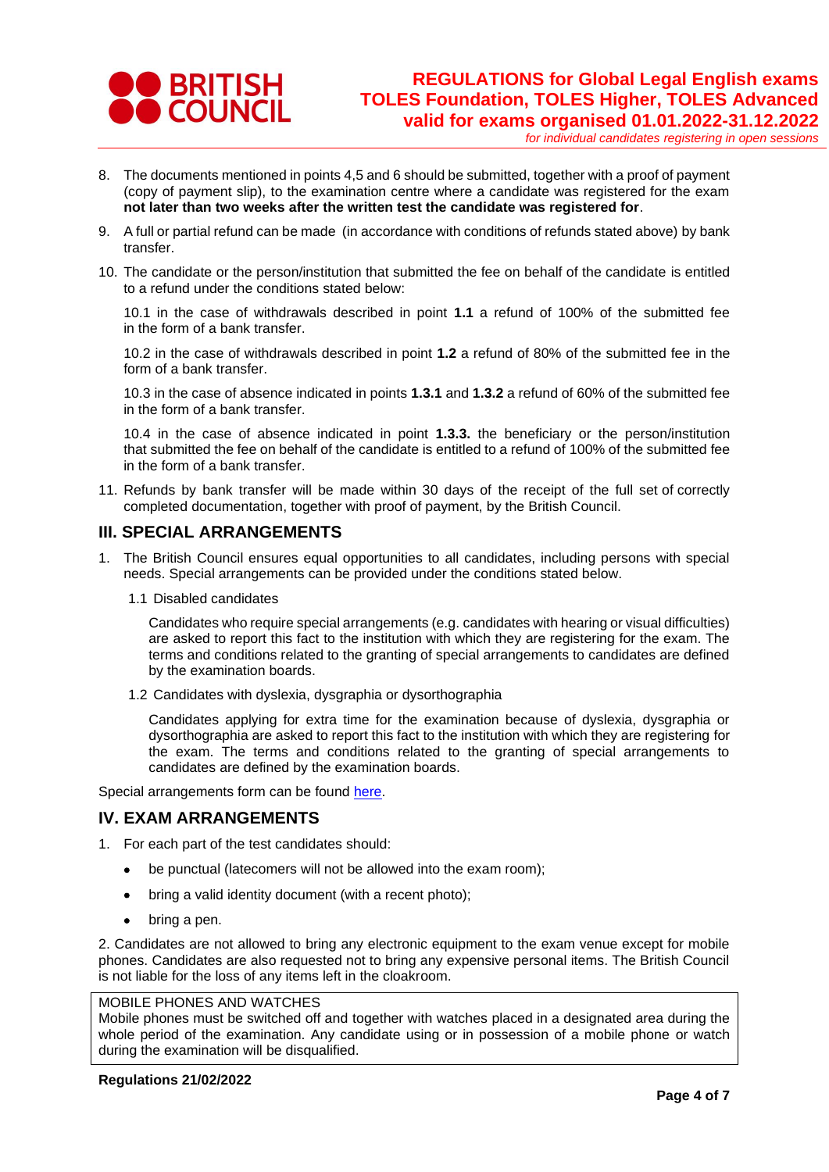

*for individual candidates registering in open sessions*

- 8. The documents mentioned in points 4,5 and 6 should be submitted, together with a proof of payment (copy of payment slip), to the examination centre where a candidate was registered for the exam **not later than two weeks after the written test the candidate was registered for**.
- 9. A full or partial refund can be made (in accordance with conditions of refunds stated above) by bank transfer.
- 10. The candidate or the person/institution that submitted the fee on behalf of the candidate is entitled to a refund under the conditions stated below:

10.1 in the case of withdrawals described in point **1.1** a refund of 100% of the submitted fee in the form of a bank transfer.

10.2 in the case of withdrawals described in point **1.2** a refund of 80% of the submitted fee in the form of a bank transfer.

10.3 in the case of absence indicated in points **1.3.1** and **1.3.2** a refund of 60% of the submitted fee in the form of a bank transfer.

10.4 in the case of absence indicated in point **1.3.3.** the beneficiary or the person/institution that submitted the fee on behalf of the candidate is entitled to a refund of 100% of the submitted fee in the form of a bank transfer.

11. Refunds by bank transfer will be made within 30 days of the receipt of the full set of correctly completed documentation, together with proof of payment, by the British Council.

### **III. SPECIAL ARRANGEMENTS**

- 1. The British Council ensures equal opportunities to all candidates, including persons with special needs. Special arrangements can be provided under the conditions stated below.
	- 1.1 Disabled candidates

Candidates who require special arrangements (e.g. candidates with hearing or visual difficulties) are asked to report this fact to the institution with which they are registering for the exam. The terms and conditions related to the granting of special arrangements to candidates are defined by the examination boards.

1.2 Candidates with dyslexia, dysgraphia or dysorthographia

Candidates applying for extra time for the examination because of dyslexia, dysgraphia or dysorthographia are asked to report this fact to the institution with which they are registering for the exam. The terms and conditions related to the granting of special arrangements to candidates are defined by the examination boards.

Special arrangements form can be found [here.](https://www.britishcouncil.pl/sites/default/files/internal_sa_form_gb_toles_16_09_2020_ep_final.pdf)

### **IV. EXAM ARRANGEMENTS**

- 1. For each part of the test candidates should:
	- be punctual (latecomers will not be allowed into the exam room);
	- bring a valid identity document (with a recent photo);
	- bring a pen.

2. Candidates are not allowed to bring any electronic equipment to the exam venue except for mobile phones. Candidates are also requested not to bring any expensive personal items. The British Council is not liable for the loss of any items left in the cloakroom.

#### MOBILE PHONES AND WATCHES

Mobile phones must be switched off and together with watches placed in a designated area during the whole period of the examination. Any candidate using or in possession of a mobile phone or watch during the examination will be disqualified.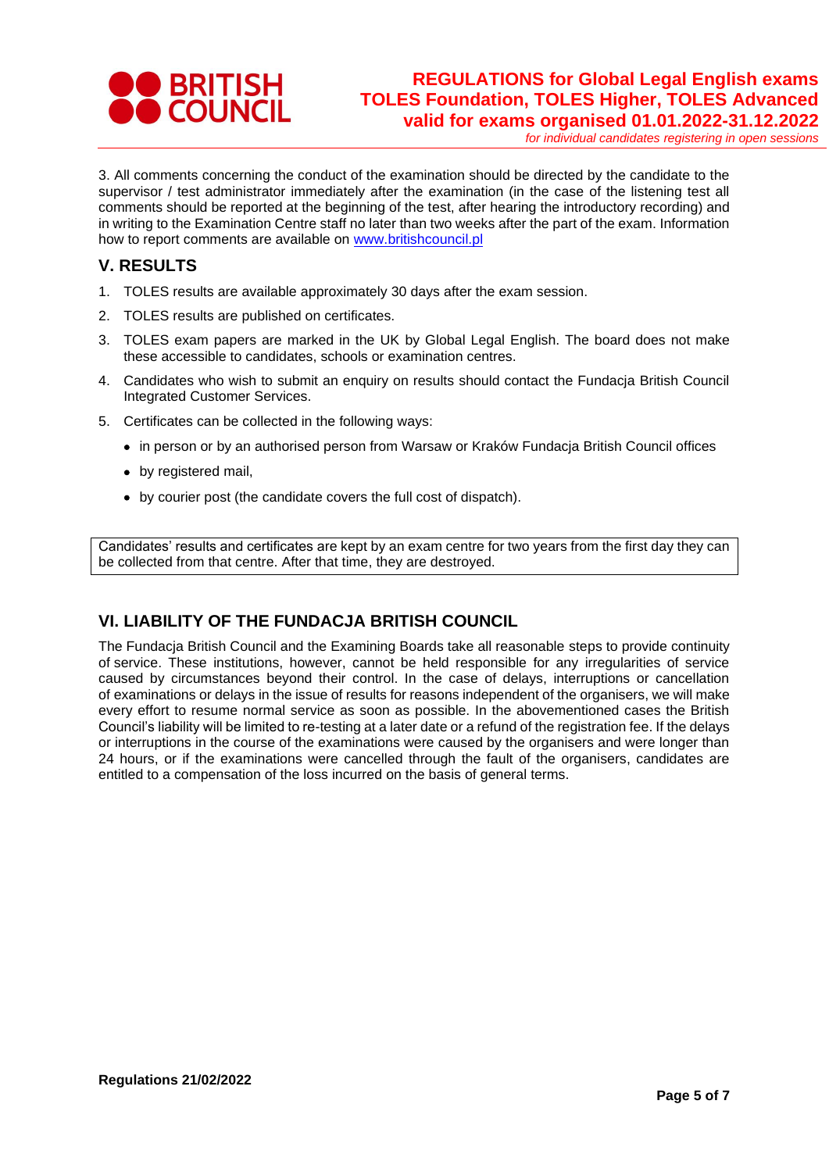

*for individual candidates registering in open sessions*

3. All comments concerning the conduct of the examination should be directed by the candidate to the supervisor / test administrator immediately after the examination (in the case of the listening test all comments should be reported at the beginning of the test, after hearing the introductory recording) and in writing to the Examination Centre staff no later than two weeks after the part of the exam. Information how to report comments are available on [www.britishcouncil.pl](http://www.britishcouncil.pl/)

## **V. RESULTS**

- 1. TOLES results are available approximately 30 days after the exam session.
- 2. TOLES results are published on certificates.
- 3. TOLES exam papers are marked in the UK by Global Legal English. The board does not make these accessible to candidates, schools or examination centres.
- 4. Candidates who wish to submit an enquiry on results should contact the Fundacja British Council Integrated Customer Services.
- 5. Certificates can be collected in the following ways:
	- in person or by an authorised person from Warsaw or Kraków Fundacja British Council offices
	- by registered mail,
	- by courier post (the candidate covers the full cost of dispatch).

Candidates' results and certificates are kept by an exam centre for two years from the first day they can be collected from that centre. After that time, they are destroyed.

# **VI. LIABILITY OF THE FUNDACJA BRITISH COUNCIL**

The Fundacja British Council and the Examining Boards take all reasonable steps to provide continuity of service. These institutions, however, cannot be held responsible for any irregularities of service caused by circumstances beyond their control. In the case of delays, interruptions or cancellation of examinations or delays in the issue of results for reasons independent of the organisers, we will make every effort to resume normal service as soon as possible. In the abovementioned cases the British Council's liability will be limited to re-testing at a later date or a refund of the registration fee. If the delays or interruptions in the course of the examinations were caused by the organisers and were longer than 24 hours, or if the examinations were cancelled through the fault of the organisers, candidates are entitled to a compensation of the loss incurred on the basis of general terms.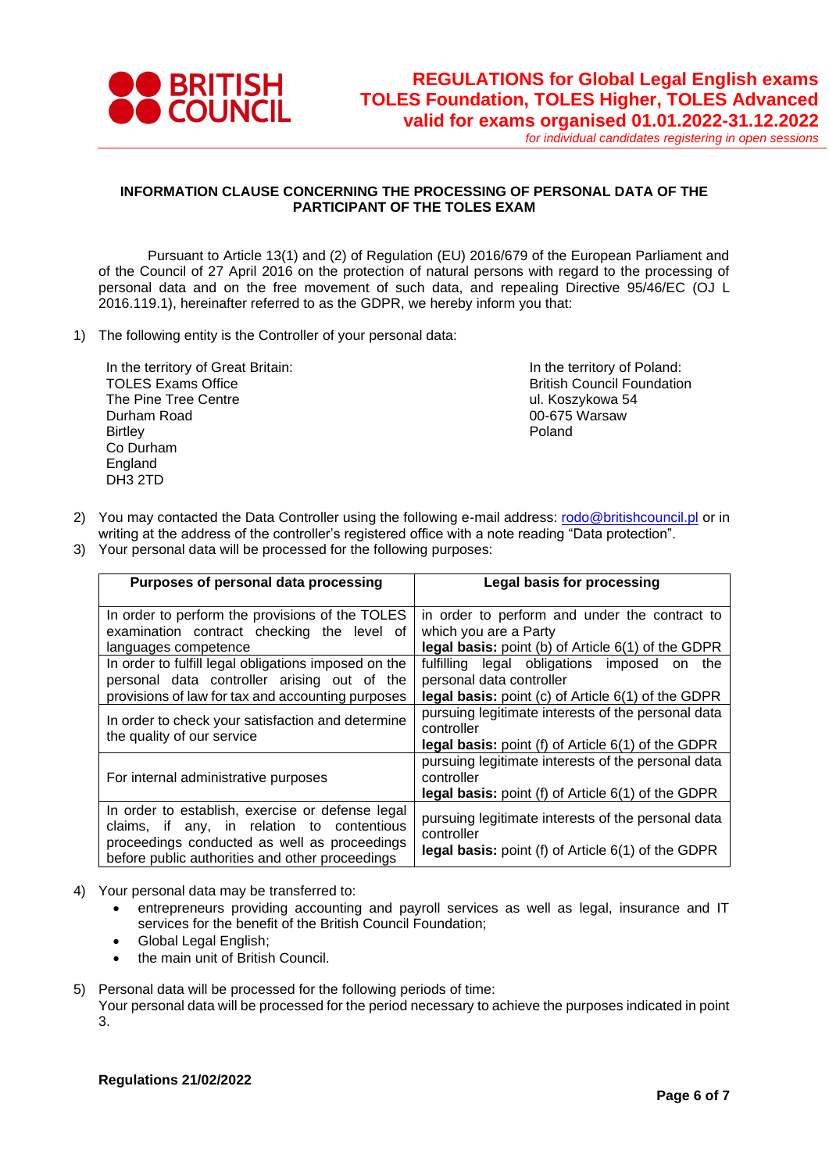

*for individual candidates registering in open sessions*

### **INFORMATION CLAUSE CONCERNING THE PROCESSING OF PERSONAL DATA OF THE PARTICIPANT OF THE TOLES EXAM**

Pursuant to Article 13(1) and (2) of Regulation (EU) 2016/679 of the European Parliament and of the Council of 27 April 2016 on the protection of natural persons with regard to the processing of personal data and on the free movement of such data, and repealing Directive 95/46/EC (OJ L 2016.119.1), hereinafter referred to as the GDPR, we hereby inform you that:

1) The following entity is the Controller of your personal data:

In the territory of Great Britain: TOLES Exams Office The Pine Tree Centre Durham Road **Birtley** Co Durham England DH3 2TD

In the territory of Poland: British Council Foundation ul. Koszykowa 54 00-675 Warsaw Poland

- 2) You may contacted the Data Controller using the following e-mail address: [rodo@britishcouncil.pl](mailto:rodo@britishcouncil.pl) or in writing at the address of the controller's registered office with a note reading "Data protection".
- 3) Your personal data will be processed for the following purposes:

| Purposes of personal data processing                                                                                                                                                              | <b>Legal basis for processing</b>                                                                                                                 |
|---------------------------------------------------------------------------------------------------------------------------------------------------------------------------------------------------|---------------------------------------------------------------------------------------------------------------------------------------------------|
| In order to perform the provisions of the TOLES<br>examination contract checking the level of<br>languages competence                                                                             | in order to perform and under the contract to<br>which you are a Party<br><b>legal basis:</b> point (b) of Article 6(1) of the GDPR               |
| In order to fulfill legal obligations imposed on the<br>personal data controller arising out of the<br>provisions of law for tax and accounting purposes                                          | fulfilling legal obligations<br>imposed<br>the<br>on<br>personal data controller<br><b>legal basis:</b> point $(c)$ of Article $6(1)$ of the GDPR |
| In order to check your satisfaction and determine<br>the quality of our service                                                                                                                   | pursuing legitimate interests of the personal data<br>controller<br><b>legal basis:</b> point (f) of Article $6(1)$ of the GDPR                   |
| For internal administrative purposes                                                                                                                                                              | pursuing legitimate interests of the personal data<br>controller<br><b>legal basis:</b> point (f) of Article $6(1)$ of the GDPR                   |
| In order to establish, exercise or defense legal<br>claims, if any, in relation to contentious<br>proceedings conducted as well as proceedings<br>before public authorities and other proceedings | pursuing legitimate interests of the personal data<br>controller<br>legal basis: point (f) of Article 6(1) of the GDPR                            |

- 4) Your personal data may be transferred to:
	- entrepreneurs providing accounting and payroll services as well as legal, insurance and IT services for the benefit of the British Council Foundation;
	- Global Legal English;
	- the main unit of British Council.
- 5) Personal data will be processed for the following periods of time:

Your personal data will be processed for the period necessary to achieve the purposes indicated in point 3.